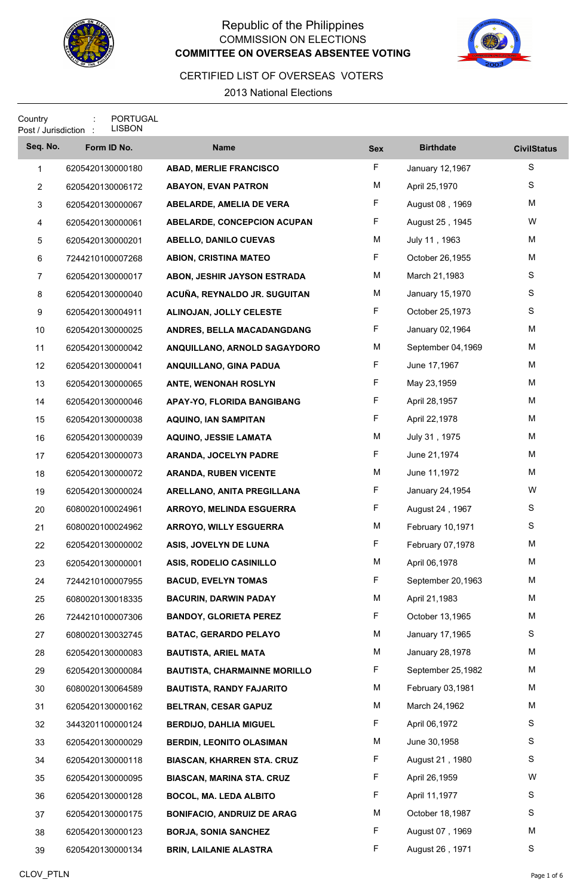

## Republic of the Philippines COMMISSION ON ELECTIONS **And the set of the set of the set of the set of the set of the set of the set of the set of the set of the set of the set of the set of the set of the set of the set of the set of the set of the se COMMITTEE ON OVERSEAS ABSENTEE VOTING**



## CERTIFIED LIST OF OVERSEAS VOTERS

2013 National Elections

| Country<br>Post / Jurisdiction : |                  | <b>PORTUGAL</b><br><b>LISBON</b> |                                     |            |                   |                    |
|----------------------------------|------------------|----------------------------------|-------------------------------------|------------|-------------------|--------------------|
| Seq. No.                         |                  | Form ID No.                      | <b>Name</b>                         | <b>Sex</b> | <b>Birthdate</b>  | <b>CivilStatus</b> |
| $\mathbf{1}$                     |                  | 6205420130000180                 | <b>ABAD, MERLIE FRANCISCO</b>       | F.         | January 12,1967   | S                  |
| $\overline{c}$                   |                  | 6205420130006172                 | <b>ABAYON, EVAN PATRON</b>          | M          | April 25,1970     | S                  |
| 3                                | 6205420130000067 |                                  | ABELARDE, AMELIA DE VERA            | F.         | August 08, 1969   | M                  |
| 4                                | 6205420130000061 |                                  | ABELARDE, CONCEPCION ACUPAN         | F          | August 25, 1945   | W                  |
| 5                                | 6205420130000201 |                                  | <b>ABELLO, DANILO CUEVAS</b>        | M          | July 11, 1963     | M                  |
| 6                                |                  | 7244210100007268                 | <b>ABION, CRISTINA MATEO</b>        | F          | October 26,1955   | M                  |
| $\overline{7}$                   | 6205420130000017 |                                  | ABON, JESHIR JAYSON ESTRADA         | М          | March 21,1983     | S                  |
| 8                                |                  | 6205420130000040                 | ACUÑA, REYNALDO JR. SUGUITAN        | M          | January 15,1970   | S                  |
| 9                                | 6205420130004911 |                                  | ALINOJAN, JOLLY CELESTE             | F.         | October 25,1973   | S                  |
| 10                               |                  | 6205420130000025                 | ANDRES, BELLA MACADANGDANG          | F.         | January 02,1964   | M                  |
| 11                               |                  | 6205420130000042                 | ANQUILLANO, ARNOLD SAGAYDORO        | М          | September 04,1969 | M                  |
| 12                               |                  | 6205420130000041                 | ANQUILLANO, GINA PADUA              | F.         | June 17,1967      | M                  |
| 13                               |                  | 6205420130000065                 | ANTE, WENONAH ROSLYN                | F          | May 23,1959       | M                  |
| 14                               |                  | 6205420130000046                 | APAY-YO, FLORIDA BANGIBANG          | F          | April 28,1957     | M                  |
| 15                               |                  | 6205420130000038                 | <b>AQUINO, IAN SAMPITAN</b>         | F.         | April 22,1978     | M                  |
| 16                               |                  | 6205420130000039                 | <b>AQUINO, JESSIE LAMATA</b>        | M          | July 31, 1975     | M                  |
| 17                               |                  | 6205420130000073                 | <b>ARANDA, JOCELYN PADRE</b>        | F.         | June 21,1974      | M                  |
| 18                               |                  | 6205420130000072                 | <b>ARANDA, RUBEN VICENTE</b>        | М          | June 11,1972      | M                  |
| 19                               | 6205420130000024 |                                  | ARELLANO, ANITA PREGILLANA          | F.         | January 24,1954   | W                  |
| 20                               | 6080020100024961 |                                  | <b>ARROYO, MELINDA ESGUERRA</b>     | F.         | August 24, 1967   | S                  |
| 21                               |                  | 6080020100024962                 | ARROYO, WILLY ESGUERRA              | М          | February 10,1971  | S                  |
| 22                               |                  | 6205420130000002                 | ASIS, JOVELYN DE LUNA               | F          | February 07,1978  | м                  |
| 23                               | 6205420130000001 |                                  | ASIS, RODELIO CASINILLO             | M          | April 06,1978     | M                  |
| 24                               |                  | 7244210100007955                 | <b>BACUD, EVELYN TOMAS</b>          | F.         | September 20,1963 | M                  |
| 25                               |                  | 6080020130018335                 | <b>BACURIN, DARWIN PADAY</b>        | М          | April 21,1983     | M                  |
| 26                               |                  | 7244210100007306                 | <b>BANDOY, GLORIETA PEREZ</b>       | F.         | October 13,1965   | M                  |
| 27                               |                  | 6080020130032745                 | <b>BATAC, GERARDO PELAYO</b>        | М          | January 17,1965   | S                  |
| 28                               |                  | 6205420130000083                 | <b>BAUTISTA, ARIEL MATA</b>         | M          | January 28,1978   | M                  |
| 29                               |                  | 6205420130000084                 | <b>BAUTISTA, CHARMAINNE MORILLO</b> | F.         | September 25,1982 | M                  |
| 30                               |                  | 6080020130064589                 | <b>BAUTISTA, RANDY FAJARITO</b>     | M          | February 03,1981  | M                  |
| 31                               |                  | 6205420130000162                 | <b>BELTRAN, CESAR GAPUZ</b>         | М          | March 24,1962     | M                  |
| 32                               |                  | 3443201100000124                 | <b>BERDIJO, DAHLIA MIGUEL</b>       | F.         | April 06,1972     | S                  |
| 33                               |                  | 6205420130000029                 | <b>BERDIN, LEONITO OLASIMAN</b>     | M          | June 30,1958      | S                  |
| 34                               |                  | 6205420130000118                 | <b>BIASCAN, KHARREN STA. CRUZ</b>   | F.         | August 21, 1980   | S                  |
| 35                               |                  | 6205420130000095                 | <b>BIASCAN, MARINA STA. CRUZ</b>    | F.         | April 26,1959     | W                  |
| 36                               |                  | 6205420130000128                 | BOCOL, MA. LEDA ALBITO              | F.         | April 11,1977     | S                  |
| 37                               |                  | 6205420130000175                 | <b>BONIFACIO, ANDRUIZ DE ARAG</b>   | M          | October 18,1987   | S                  |
| 38                               |                  | 6205420130000123                 | <b>BORJA, SONIA SANCHEZ</b>         | F          | August 07, 1969   | M                  |
| 39                               |                  | 6205420130000134                 | <b>BRIN, LAILANIE ALASTRA</b>       | F.         | August 26, 1971   | S                  |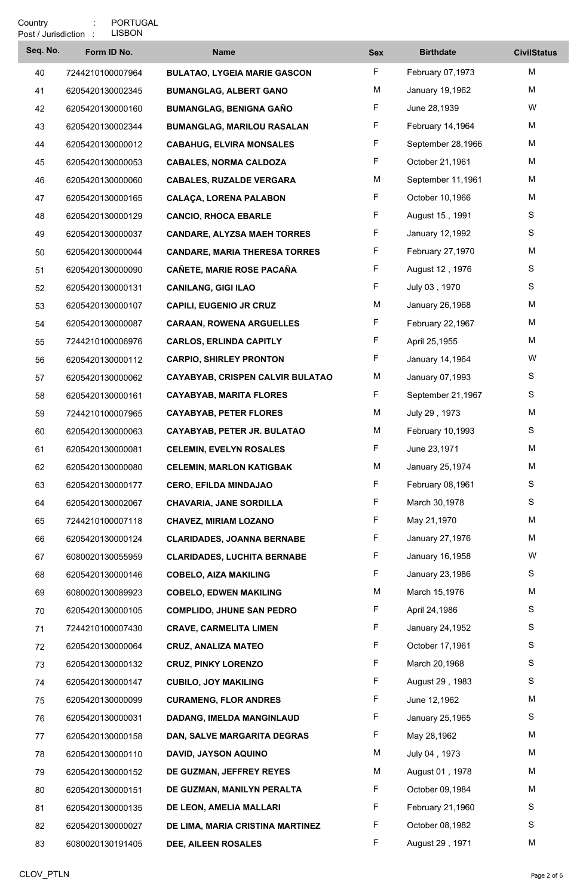| Seq. No. | Form ID No.      | <b>Name</b>                          | <b>Sex</b> | <b>Birthdate</b>  | <b>CivilStatus</b> |
|----------|------------------|--------------------------------------|------------|-------------------|--------------------|
| 40       | 7244210100007964 | <b>BULATAO, LYGEIA MARIE GASCON</b>  | F.         | February 07,1973  | M                  |
| 41       | 6205420130002345 | <b>BUMANGLAG, ALBERT GANO</b>        | M          | January 19,1962   | M                  |
| 42       | 6205420130000160 | <b>BUMANGLAG, BENIGNA GAÑO</b>       | F.         | June 28,1939      | W                  |
| 43       | 6205420130002344 | <b>BUMANGLAG, MARILOU RASALAN</b>    | F          | February 14,1964  | M                  |
| 44       | 6205420130000012 | <b>CABAHUG, ELVIRA MONSALES</b>      | F          | September 28,1966 | M                  |
| 45       | 6205420130000053 | <b>CABALES, NORMA CALDOZA</b>        | F          | October 21,1961   | M                  |
| 46       | 6205420130000060 | <b>CABALES, RUZALDE VERGARA</b>      | M          | September 11,1961 | M                  |
| 47       | 6205420130000165 | <b>CALAÇA, LORENA PALABON</b>        | F          | October 10,1966   | M                  |
| 48       | 6205420130000129 | <b>CANCIO, RHOCA EBARLE</b>          | F          | August 15, 1991   | S                  |
| 49       | 6205420130000037 | <b>CANDARE, ALYZSA MAEH TORRES</b>   | F          | January 12,1992   | S                  |
| 50       | 6205420130000044 | <b>CANDARE, MARIA THERESA TORRES</b> | F.         | February 27,1970  | M                  |
| 51       | 6205420130000090 | CAÑETE, MARIE ROSE PACAÑA            | F.         | August 12, 1976   | S                  |
| 52       | 6205420130000131 | <b>CANILANG, GIGI ILAO</b>           | F          | July 03, 1970     | S                  |
| 53       | 6205420130000107 | <b>CAPILI, EUGENIO JR CRUZ</b>       | M          | January 26,1968   | M                  |
| 54       | 6205420130000087 | <b>CARAAN, ROWENA ARGUELLES</b>      | F.         | February 22,1967  | M                  |
| 55       | 7244210100006976 | <b>CARLOS, ERLINDA CAPITLY</b>       | F          | April 25,1955     | M                  |
| 56       | 6205420130000112 | <b>CARPIO, SHIRLEY PRONTON</b>       | F          | January 14,1964   | W                  |
| 57       | 6205420130000062 | CAYABYAB, CRISPEN CALVIR BULATAO     | M          | January 07,1993   | S                  |
| 58       | 6205420130000161 | <b>CAYABYAB, MARITA FLORES</b>       | F.         | September 21,1967 | S                  |
| 59       | 7244210100007965 | <b>CAYABYAB, PETER FLORES</b>        | М          | July 29, 1973     | M                  |
| 60       | 6205420130000063 | CAYABYAB, PETER JR. BULATAO          | M          | February 10,1993  | S                  |
| 61       | 6205420130000081 | <b>CELEMIN, EVELYN ROSALES</b>       | F          | June 23,1971      | M                  |
| 62       | 6205420130000080 | <b>CELEMIN, MARLON KATIGBAK</b>      | M          | January 25,1974   | M                  |
| 63       | 6205420130000177 | <b>CERO, EFILDA MINDAJAO</b>         | F          | February 08,1961  | S                  |
| 64       | 6205420130002067 | <b>CHAVARIA, JANE SORDILLA</b>       | F          | March 30,1978     | S                  |
| 65       | 7244210100007118 | <b>CHAVEZ, MIRIAM LOZANO</b>         | F          | May 21,1970       | M                  |
| 66       | 6205420130000124 | <b>CLARIDADES, JOANNA BERNABE</b>    | F          | January 27,1976   | M                  |
| 67       | 6080020130055959 | <b>CLARIDADES, LUCHITA BERNABE</b>   | F          | January 16,1958   | W                  |
| 68       | 6205420130000146 | <b>COBELO, AIZA MAKILING</b>         | F          | January 23,1986   | S                  |
| 69       | 6080020130089923 | <b>COBELO, EDWEN MAKILING</b>        | M          | March 15,1976     | M                  |
| 70       | 6205420130000105 | <b>COMPLIDO, JHUNE SAN PEDRO</b>     | F          | April 24,1986     | S                  |
| 71       | 7244210100007430 | <b>CRAVE, CARMELITA LIMEN</b>        | F          | January 24,1952   | S                  |
| 72       | 6205420130000064 | <b>CRUZ, ANALIZA MATEO</b>           | F          | October 17,1961   | S                  |
| 73       | 6205420130000132 | <b>CRUZ, PINKY LORENZO</b>           | F          | March 20,1968     | S                  |
| 74       | 6205420130000147 | <b>CUBILO, JOY MAKILING</b>          | F.         | August 29, 1983   | S                  |
| 75       | 6205420130000099 | <b>CURAMENG, FLOR ANDRES</b>         | F          | June 12,1962      | M                  |
| 76       | 6205420130000031 | DADANG, IMELDA MANGINLAUD            | F          | January 25,1965   | S                  |
| 77       | 6205420130000158 | DAN, SALVE MARGARITA DEGRAS          | F.         | May 28,1962       | M                  |
| 78       | 6205420130000110 | DAVID, JAYSON AQUINO                 | M          | July 04, 1973     | M                  |
| 79       | 6205420130000152 | DE GUZMAN, JEFFREY REYES             | M          | August 01, 1978   | M                  |
| 80       | 6205420130000151 | DE GUZMAN, MANILYN PERALTA           | F          | October 09,1984   | M                  |
| 81       | 6205420130000135 | DE LEON, AMELIA MALLARI              | F          | February 21,1960  | S                  |
| 82       | 6205420130000027 | DE LIMA, MARIA CRISTINA MARTINEZ     | F.         | October 08,1982   | S                  |
| 83       | 6080020130191405 | <b>DEE, AILEEN ROSALES</b>           | F          | August 29, 1971   | M                  |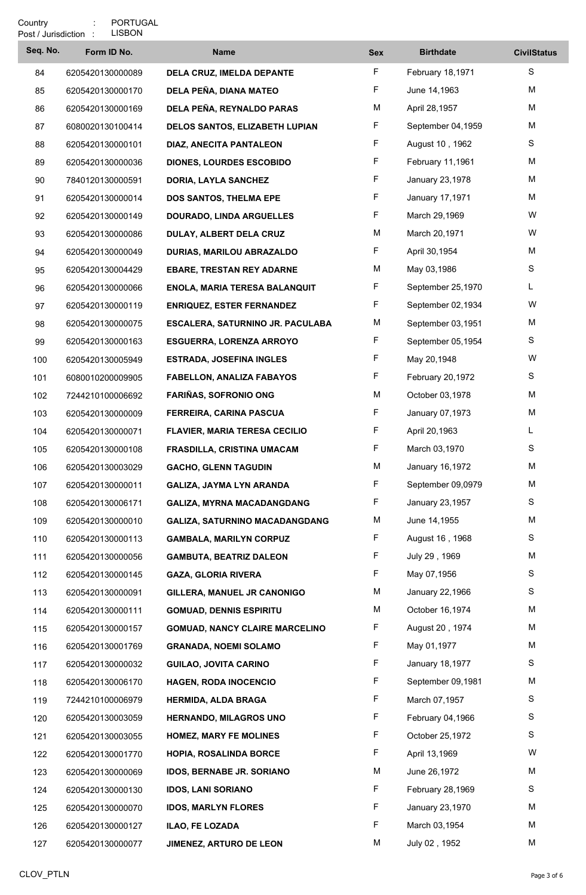| Seq. No. | Form ID No.      | <b>Name</b>                           | <b>Sex</b> | <b>Birthdate</b>  | <b>CivilStatus</b> |
|----------|------------------|---------------------------------------|------------|-------------------|--------------------|
| 84       | 6205420130000089 | DELA CRUZ, IMELDA DEPANTE             | F.         | February 18,1971  | S                  |
| 85       | 6205420130000170 | DELA PEÑA, DIANA MATEO                | F          | June 14,1963      | M                  |
| 86       | 6205420130000169 | DELA PEÑA, REYNALDO PARAS             | M          | April 28,1957     | M                  |
| 87       | 6080020130100414 | DELOS SANTOS, ELIZABETH LUPIAN        | F          | September 04,1959 | M                  |
| 88       | 6205420130000101 | <b>DIAZ, ANECITA PANTALEON</b>        | F          | August 10, 1962   | S                  |
| 89       | 6205420130000036 | <b>DIONES, LOURDES ESCOBIDO</b>       | F          | February 11,1961  | M                  |
| 90       | 7840120130000591 | <b>DORIA, LAYLA SANCHEZ</b>           | F          | January 23,1978   | M                  |
| 91       | 6205420130000014 | DOS SANTOS, THELMA EPE                | F          | January 17,1971   | M                  |
| 92       | 6205420130000149 | <b>DOURADO, LINDA ARGUELLES</b>       | F          | March 29,1969     | W                  |
| 93       | 6205420130000086 | DULAY, ALBERT DELA CRUZ               | M          | March 20,1971     | W                  |
| 94       | 6205420130000049 | <b>DURIAS, MARILOU ABRAZALDO</b>      | F          | April 30,1954     | M                  |
| 95       | 6205420130004429 | <b>EBARE, TRESTAN REY ADARNE</b>      | M          | May 03,1986       | S                  |
| 96       | 6205420130000066 | ENOLA, MARIA TERESA BALANQUIT         | F          | September 25,1970 | L.                 |
| 97       | 6205420130000119 | <b>ENRIQUEZ, ESTER FERNANDEZ</b>      | F          | September 02,1934 | W                  |
| 98       | 6205420130000075 | ESCALERA, SATURNINO JR. PACULABA      | M          | September 03,1951 | M                  |
| 99       | 6205420130000163 | <b>ESGUERRA, LORENZA ARROYO</b>       | F          | September 05,1954 | S                  |
| 100      | 6205420130005949 | <b>ESTRADA, JOSEFINA INGLES</b>       | F          | May 20,1948       | W                  |
| 101      | 6080010200009905 | <b>FABELLON, ANALIZA FABAYOS</b>      | F          | February 20,1972  | S                  |
| 102      | 7244210100006692 | <b>FARIÑAS, SOFRONIO ONG</b>          | M          | October 03,1978   | M                  |
| 103      | 6205420130000009 | FERREIRA, CARINA PASCUA               | F.         | January 07,1973   | M                  |
| 104      | 6205420130000071 | <b>FLAVIER, MARIA TERESA CECILIO</b>  | F          | April 20,1963     | L.                 |
| 105      | 6205420130000108 | FRASDILLA, CRISTINA UMACAM            | F          | March 03,1970     | S                  |
| 106      | 6205420130003029 | <b>GACHO, GLENN TAGUDIN</b>           | M          | January 16,1972   | M                  |
| 107      | 6205420130000011 | <b>GALIZA, JAYMA LYN ARANDA</b>       | F          | September 09,0979 | M                  |
| 108      | 6205420130006171 | <b>GALIZA, MYRNA MACADANGDANG</b>     | F          | January 23,1957   | S                  |
| 109      | 6205420130000010 | <b>GALIZA, SATURNINO MACADANGDANG</b> | M          | June 14,1955      | M                  |
| 110      | 6205420130000113 | <b>GAMBALA, MARILYN CORPUZ</b>        | F          | August 16, 1968   | S                  |
| 111      | 6205420130000056 | <b>GAMBUTA, BEATRIZ DALEON</b>        | F.         | July 29, 1969     | M                  |
| 112      | 6205420130000145 | <b>GAZA, GLORIA RIVERA</b>            | F          | May 07,1956       | S                  |
| 113      | 6205420130000091 | GILLERA, MANUEL JR CANONIGO           | M          | January 22,1966   | S                  |
| 114      | 6205420130000111 | <b>GOMUAD, DENNIS ESPIRITU</b>        | M          | October 16,1974   | M                  |
| 115      | 6205420130000157 | <b>GOMUAD, NANCY CLAIRE MARCELINO</b> | F          | August 20, 1974   | M                  |
| 116      | 6205420130001769 | <b>GRANADA, NOEMI SOLAMO</b>          | F          | May 01,1977       | M                  |
| 117      | 6205420130000032 | <b>GUILAO, JOVITA CARINO</b>          | F          | January 18,1977   | S                  |
| 118      | 6205420130006170 | HAGEN, RODA INOCENCIO                 | F.         | September 09,1981 | M                  |
| 119      | 7244210100006979 | <b>HERMIDA, ALDA BRAGA</b>            | F          | March 07,1957     | S                  |
| 120      | 6205420130003059 | <b>HERNANDO, MILAGROS UNO</b>         | F          | February 04,1966  | S                  |
| 121      | 6205420130003055 | <b>HOMEZ, MARY FE MOLINES</b>         | F.         | October 25,1972   | S                  |
| 122      | 6205420130001770 | HOPIA, ROSALINDA BORCE                | F          | April 13,1969     | W                  |
| 123      | 6205420130000069 | <b>IDOS, BERNABE JR. SORIANO</b>      | M          | June 26,1972      | M                  |
| 124      | 6205420130000130 | <b>IDOS, LANI SORIANO</b>             | F          | February 28,1969  | S                  |
| 125      | 6205420130000070 | <b>IDOS, MARLYN FLORES</b>            | F          | January 23,1970   | M                  |
| 126      | 6205420130000127 | ILAO, FE LOZADA                       | F.         | March 03,1954     | M                  |
| 127      | 6205420130000077 | JIMENEZ, ARTURO DE LEON               | М          | July 02, 1952     | M                  |
|          |                  |                                       |            |                   |                    |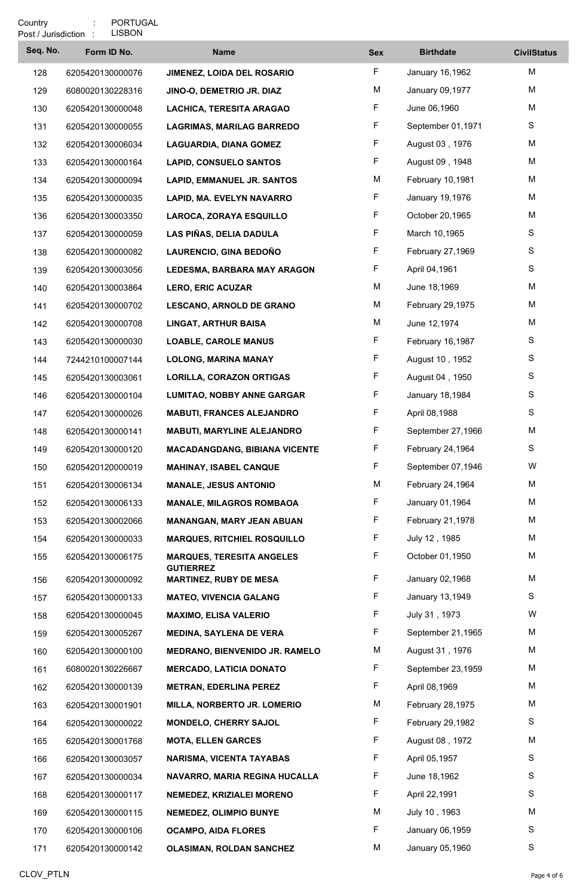| Post / Jurisdiction : | LISBON           |                                                   |            |                   |                    |
|-----------------------|------------------|---------------------------------------------------|------------|-------------------|--------------------|
| Seq. No.              | Form ID No.      | <b>Name</b>                                       | <b>Sex</b> | <b>Birthdate</b>  | <b>CivilStatus</b> |
| 128                   | 6205420130000076 | <b>JIMENEZ, LOIDA DEL ROSARIO</b>                 | F          | January 16,1962   | M                  |
| 129                   | 6080020130228316 | JINO-O, DEMETRIO JR. DIAZ                         | M          | January 09,1977   | M                  |
| 130                   | 6205420130000048 | LACHICA, TERESITA ARAGAO                          | F          | June 06,1960      | M                  |
| 131                   | 6205420130000055 | <b>LAGRIMAS, MARILAG BARREDO</b>                  | F          | September 01,1971 | S                  |
| 132                   | 6205420130006034 | <b>LAGUARDIA, DIANA GOMEZ</b>                     | F          | August 03, 1976   | M                  |
| 133                   | 6205420130000164 | <b>LAPID, CONSUELO SANTOS</b>                     | F          | August 09, 1948   | M                  |
| 134                   | 6205420130000094 | <b>LAPID, EMMANUEL JR. SANTOS</b>                 | M          | February 10,1981  | M                  |
| 135                   | 6205420130000035 | LAPID, MA. EVELYN NAVARRO                         | F          | January 19,1976   | M                  |
| 136                   | 6205420130003350 | LAROCA, ZORAYA ESQUILLO                           | F          | October 20,1965   | M                  |
| 137                   | 6205420130000059 | LAS PIÑAS, DELIA DADULA                           | F          | March 10,1965     | S                  |
| 138                   | 6205420130000082 | LAURENCIO, GINA BEDOÑO                            | F          | February 27,1969  | S                  |
| 139                   | 6205420130003056 | <b>LEDESMA, BARBARA MAY ARAGON</b>                | F.         | April 04,1961     | S                  |
| 140                   | 6205420130003864 | <b>LERO, ERIC ACUZAR</b>                          | M          | June 18,1969      | M                  |
| 141                   | 6205420130000702 | <b>LESCANO, ARNOLD DE GRANO</b>                   | М          | February 29,1975  | M                  |
| 142                   | 6205420130000708 | <b>LINGAT, ARTHUR BAISA</b>                       | M          | June 12,1974      | M                  |
| 143                   | 6205420130000030 | <b>LOABLE, CAROLE MANUS</b>                       | F          | February 16,1987  | S                  |
| 144                   | 7244210100007144 | <b>LOLONG, MARINA MANAY</b>                       | F          | August 10, 1952   | S                  |
| 145                   | 6205420130003061 | <b>LORILLA, CORAZON ORTIGAS</b>                   | F          | August 04, 1950   | S                  |
| 146                   | 6205420130000104 | <b>LUMITAO, NOBBY ANNE GARGAR</b>                 | F.         | January 18,1984   | S                  |
| 147                   | 6205420130000026 | <b>MABUTI, FRANCES ALEJANDRO</b>                  | F          | April 08,1988     | S                  |
| 148                   | 6205420130000141 | <b>MABUTI, MARYLINE ALEJANDRO</b>                 | F.         | September 27,1966 | M                  |
| 149                   | 6205420130000120 | <b>MACADANGDANG, BIBIANA VICENTE</b>              | F          | February 24,1964  | S                  |
| 150                   | 6205420120000019 | <b>MAHINAY, ISABEL CANQUE</b>                     | F          | September 07,1946 | W                  |
| 151                   | 6205420130006134 | <b>MANALE, JESUS ANTONIO</b>                      | M          | February 24,1964  | M                  |
| 152                   | 6205420130006133 | <b>MANALE, MILAGROS ROMBAOA</b>                   | F          | January 01,1964   | M                  |
| 153                   | 6205420130002066 | <b>MANANGAN, MARY JEAN ABUAN</b>                  | F          | February 21,1978  | M                  |
| 154                   | 6205420130000033 | <b>MARQUES, RITCHIEL ROSQUILLO</b>                | F          | July 12, 1985     | M                  |
| 155                   | 6205420130006175 | <b>MARQUES, TERESITA ANGELES</b>                  | F.         | October 01,1950   | M                  |
| 156                   | 6205420130000092 | <b>GUTIERREZ</b><br><b>MARTINEZ, RUBY DE MESA</b> | F          | January 02,1968   | M                  |
| 157                   | 6205420130000133 | <b>MATEO, VIVENCIA GALANG</b>                     | F          | January 13,1949   | S                  |
| 158                   | 6205420130000045 | <b>MAXIMO, ELISA VALERIO</b>                      | F          | July 31, 1973     | W                  |
| 159                   | 6205420130005267 | <b>MEDINA, SAYLENA DE VERA</b>                    | F          | September 21,1965 | M                  |
| 160                   | 6205420130000100 | MEDRANO, BIENVENIDO JR. RAMELO                    | M          | August 31, 1976   | M                  |
| 161                   | 6080020130226667 | <b>MERCADO, LATICIA DONATO</b>                    | F          | September 23,1959 | M                  |
| 162                   | 6205420130000139 | <b>METRAN, EDERLINA PEREZ</b>                     | F          | April 08,1969     | M                  |
| 163                   | 6205420130001901 | MILLA, NORBERTO JR. LOMERIO                       | M          | February 28,1975  | M                  |
| 164                   | 6205420130000022 | <b>MONDELO, CHERRY SAJOL</b>                      | F.         | February 29,1982  | S                  |
| 165                   | 6205420130001768 | <b>MOTA, ELLEN GARCES</b>                         | F          | August 08, 1972   | M                  |
| 166                   | 6205420130003057 | NARISMA, VICENTA TAYABAS                          | F          | April 05,1957     | S                  |
| 167                   | 6205420130000034 | NAVARRO, MARIA REGINA HUCALLA                     | F          | June 18,1962      | S                  |
| 168                   | 6205420130000117 | NEMEDEZ, KRIZIALEI MORENO                         | F          | April 22,1991     | S                  |
| 169                   | 6205420130000115 | <b>NEMEDEZ, OLIMPIO BUNYE</b>                     | M          | July 10, 1963     | М                  |
| 170                   | 6205420130000106 | <b>OCAMPO, AIDA FLORES</b>                        | F          | January 06,1959   | S                  |
| 171                   | 6205420130000142 | OLASIMAN, ROLDAN SANCHEZ                          | M          | January 05,1960   | S                  |
|                       |                  |                                                   |            |                   |                    |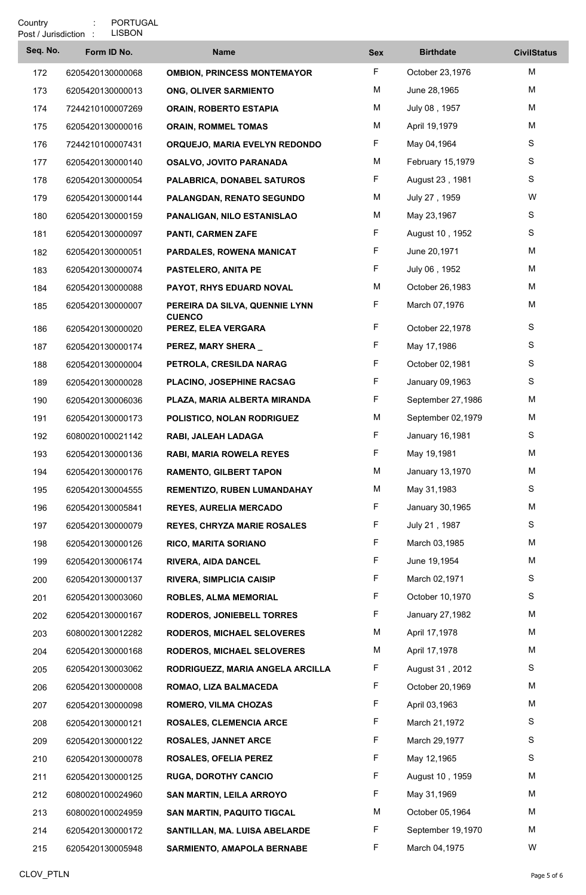|          | LISBON<br>Post / Jurisdiction : |                                                 |            |                   |                    |
|----------|---------------------------------|-------------------------------------------------|------------|-------------------|--------------------|
| Seq. No. | Form ID No.                     | <b>Name</b>                                     | <b>Sex</b> | <b>Birthdate</b>  | <b>CivilStatus</b> |
| 172      | 6205420130000068                | <b>OMBION, PRINCESS MONTEMAYOR</b>              | F          | October 23,1976   | M                  |
| 173      | 6205420130000013                | <b>ONG, OLIVER SARMIENTO</b>                    | M          | June 28,1965      | M                  |
| 174      | 7244210100007269                | <b>ORAIN, ROBERTO ESTAPIA</b>                   | M          | July 08, 1957     | M                  |
| 175      | 6205420130000016                | <b>ORAIN, ROMMEL TOMAS</b>                      | M          | April 19,1979     | M                  |
| 176      | 7244210100007431                | ORQUEJO, MARIA EVELYN REDONDO                   | F          | May 04,1964       | S                  |
| 177      | 6205420130000140                | <b>OSALVO, JOVITO PARANADA</b>                  | M          | February 15,1979  | S                  |
| 178      | 6205420130000054                | PALABRICA, DONABEL SATUROS                      | F          | August 23, 1981   | S                  |
| 179      | 6205420130000144                | <b>PALANGDAN, RENATO SEGUNDO</b>                | M          | July 27, 1959     | W                  |
| 180      | 6205420130000159                | PANALIGAN, NILO ESTANISLAO                      | M          | May 23,1967       | S                  |
| 181      | 6205420130000097                | PANTI, CARMEN ZAFE                              | F          | August 10, 1952   | S                  |
| 182      | 6205420130000051                | PARDALES, ROWENA MANICAT                        | F          | June 20,1971      | M                  |
| 183      | 6205420130000074                | <b>PASTELERO, ANITA PE</b>                      | F.         | July 06, 1952     | M                  |
| 184      | 6205420130000088                | PAYOT, RHYS EDUARD NOVAL                        | M          | October 26,1983   | M                  |
| 185      | 6205420130000007                | PEREIRA DA SILVA, QUENNIE LYNN<br><b>CUENCO</b> | F.         | March 07,1976     | M                  |
| 186      | 6205420130000020                | PEREZ, ELEA VERGARA                             | F.         | October 22,1978   | S                  |
| 187      | 6205420130000174                | PEREZ, MARY SHERA_                              | F          | May 17,1986       | S                  |
| 188      | 6205420130000004                | PETROLA, CRESILDA NARAG                         | F          | October 02,1981   | S                  |
| 189      | 6205420130000028                | PLACINO, JOSEPHINE RACSAG                       | F          | January 09,1963   | S                  |
| 190      | 6205420130006036                | PLAZA, MARIA ALBERTA MIRANDA                    | F          | September 27,1986 | M                  |
| 191      | 6205420130000173                | POLISTICO, NOLAN RODRIGUEZ                      | M          | September 02,1979 | Μ                  |
| 192      | 6080020100021142                | RABI, JALEAH LADAGA                             | F.         | January 16,1981   | S                  |
| 193      | 6205420130000136                | RABI, MARIA ROWELA REYES                        | F          | May 19,1981       | М                  |
| 194      | 6205420130000176                | <b>RAMENTO, GILBERT TAPON</b>                   | M          | January 13,1970   | M                  |
| 195      | 6205420130004555                | <b>REMENTIZO, RUBEN LUMANDAHAY</b>              | М          | May 31,1983       | S                  |
| 196      | 6205420130005841                | <b>REYES, AURELIA MERCADO</b>                   | F          | January 30,1965   | М                  |
| 197      | 6205420130000079                | <b>REYES, CHRYZA MARIE ROSALES</b>              | F          | July 21, 1987     | S                  |
| 198      | 6205420130000126                | <b>RICO, MARITA SORIANO</b>                     | F          | March 03,1985     | M                  |
| 199      | 6205420130006174                | <b>RIVERA, AIDA DANCEL</b>                      | F          | June 19,1954      | M                  |
| 200      | 6205420130000137                | <b>RIVERA, SIMPLICIA CAISIP</b>                 | F          | March 02,1971     | S                  |
| 201      | 6205420130003060                | <b>ROBLES, ALMA MEMORIAL</b>                    | F          | October 10,1970   | S                  |
| 202      | 6205420130000167                | <b>RODEROS, JONIEBELL TORRES</b>                | F          | January 27,1982   | M                  |
| 203      | 6080020130012282                | <b>RODEROS, MICHAEL SELOVERES</b>               | M          | April 17,1978     | M                  |
| 204      | 6205420130000168                | <b>RODEROS, MICHAEL SELOVERES</b>               | M          | April 17,1978     | M                  |
| 205      | 6205420130003062                | RODRIGUEZZ, MARIA ANGELA ARCILLA                | F          | August 31, 2012   | S                  |
| 206      | 6205420130000008                | ROMAO, LIZA BALMACEDA                           | F          | October 20,1969   | M                  |
| 207      | 6205420130000098                | <b>ROMERO, VILMA CHOZAS</b>                     | F          | April 03,1963     | M                  |
| 208      | 6205420130000121                | <b>ROSALES, CLEMENCIA ARCE</b>                  | F.         | March 21,1972     | S                  |
| 209      | 6205420130000122                | <b>ROSALES, JANNET ARCE</b>                     | F          | March 29,1977     | S                  |
| 210      | 6205420130000078                | <b>ROSALES, OFELIA PEREZ</b>                    | F          | May 12,1965       | S                  |
| 211      | 6205420130000125                | <b>RUGA, DOROTHY CANCIO</b>                     | F          | August 10, 1959   | M                  |
| 212      | 6080020100024960                | SAN MARTIN, LEILA ARROYO                        | F          | May 31,1969       | M                  |
| 213      | 6080020100024959                | <b>SAN MARTIN, PAQUITO TIGCAL</b>               | M          | October 05,1964   | М                  |
| 214      | 6205420130000172                | SANTILLAN, MA. LUISA ABELARDE                   | F          | September 19,1970 | M                  |
| 215      | 6205420130005948                | <b>SARMIENTO, AMAPOLA BERNABE</b>               | F.         | March 04,1975     | W                  |
|          |                                 |                                                 |            |                   |                    |